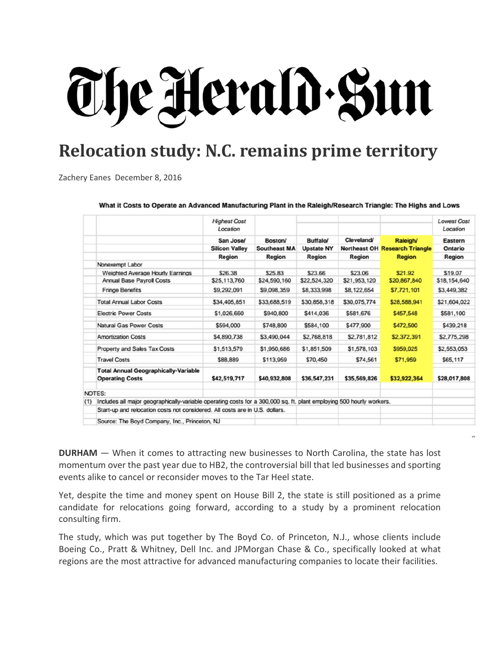## The Herald Sun

## **Relocation study: N.C. remains prime territory**

Zachery Eanes December 8, 2016

What it Costs to Operate an Advanced Manufacturing Plant in the Raleigh/Research Triangle: The Highs and Lows

|     |                                                                                                                      | <b>Highest Cost</b><br>Location<br>San Jose/<br><b>Silicon Valley</b> | Boston/<br><b>Southeast MA</b> | <b>Buffalo/</b><br><b>Upstate NY</b> | Cleveland/   | <b>Raleigh/</b><br><b>Northeast OH Research Triangle</b> | <b>Lowest Cost</b><br>Location<br>Eastern<br>Ontario |
|-----|----------------------------------------------------------------------------------------------------------------------|-----------------------------------------------------------------------|--------------------------------|--------------------------------------|--------------|----------------------------------------------------------|------------------------------------------------------|
|     |                                                                                                                      |                                                                       |                                |                                      |              |                                                          |                                                      |
|     |                                                                                                                      |                                                                       |                                |                                      |              |                                                          |                                                      |
|     |                                                                                                                      | Region                                                                | Region                         | Region                               | Region       | <b>Region</b>                                            | Region                                               |
|     | Nonexempt Labor                                                                                                      |                                                                       |                                |                                      |              |                                                          |                                                      |
|     | Weighted Average Hourly Earnings                                                                                     | \$26.38                                                               | \$25.83                        | \$23.66                              | \$23.06      | \$21.92                                                  | \$19.07                                              |
|     | <b>Annual Base Payroll Costs</b>                                                                                     | \$25,113,760                                                          | \$24,590,160                   | \$22,524,320                         | \$21,953,120 | \$20,867,840                                             | \$18,154,640                                         |
|     | <b>Fringe Benefits</b>                                                                                               | \$9,292,091                                                           | \$9,098,359                    | \$8,333,998                          | \$8,122,654  | \$7,721,101                                              | \$3,449,382                                          |
|     | <b>Total Annual Labor Costs</b>                                                                                      | \$34,405,851                                                          | \$33,688,519                   | \$30,858,318                         | \$30,075,774 | \$28,588,941                                             | \$21,604,022                                         |
|     | <b>Electric Power Costs</b>                                                                                          | \$1,026,660                                                           | \$940,800                      | \$414,036                            | \$581,676    | \$457,548                                                | \$581,100                                            |
|     | <b>Natural Gas Power Costs</b>                                                                                       | \$594,000                                                             | \$748,800                      | \$584,100                            | \$477,900    | \$472,500                                                | \$439,218                                            |
|     | <b>Amortization Costs</b>                                                                                            | \$4,890,738                                                           | \$3,490,044                    | \$2,768,818                          | \$2,781,812  | \$2,372,391                                              | \$2,775,298                                          |
|     | Property and Sales Tax Costs                                                                                         | \$1,513,579                                                           | \$1,950,686                    | \$1,851,509                          | \$1,578,103  | \$959,025                                                | \$2,553,053                                          |
|     | <b>Travel Costs</b>                                                                                                  | \$88,889                                                              | \$113,959                      | \$70,450                             | \$74,561     | \$71,959                                                 | \$65,117                                             |
|     | <b>Total Annual Geographically-Variable</b><br><b>Operating Costs</b>                                                | \$42,519,717                                                          | \$40,932,808                   | \$36,547,231                         | \$35,569,826 | \$32,922,364                                             | \$28,017,808                                         |
|     | NOTES:                                                                                                               |                                                                       |                                |                                      |              |                                                          |                                                      |
| (1) | Includes all major geographically-variable operating costs for a 300,000 sq. ft. plant employing 500 hourly workers. |                                                                       |                                |                                      |              |                                                          |                                                      |
|     | Start-up and relocation costs not considered. All costs are in U.S. dollars.                                         |                                                                       |                                |                                      |              |                                                          |                                                      |
|     | Source: The Boyd Company, Inc., Princeton, NJ                                                                        |                                                                       |                                |                                      |              |                                                          |                                                      |

**DURHAM** — When it comes to attracting new businesses to North Carolina, the state has lost momentum over the past year due to HB2, the controversial bill that led businesses and sporting events alike to cancel or reconsider moves to the Tar Heel state.

Yet, despite the time and money spent on House Bill 2, the state is still positioned as a prime candidate for relocations going forward, according to a study by a prominent relocation consulting firm.

The study, which was put together by The Boyd Co. of Princeton, N.J., whose clients include Boeing Co., Pratt & Whitney, Dell Inc. and JPMorgan Chase & Co., specifically looked at what regions are the most attractive for advanced manufacturing companies to locate their facilities.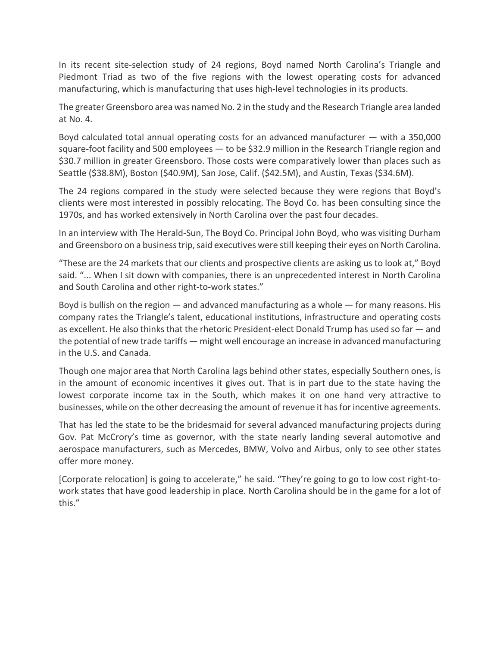In its recent site‐selection study of 24 regions, Boyd named North Carolina's Triangle and Piedmont Triad as two of the five regions with the lowest operating costs for advanced manufacturing, which is manufacturing that uses high‐level technologies in its products.

The greater Greensboro area was named No. 2 in the study and the Research Triangle area landed at No. 4.

Boyd calculated total annual operating costs for an advanced manufacturer  $-$  with a 350,000 square-foot facility and 500 employees — to be \$32.9 million in the Research Triangle region and \$30.7 million in greater Greensboro. Those costs were comparatively lower than places such as Seattle (\$38.8M), Boston (\$40.9M), San Jose, Calif. (\$42.5M), and Austin, Texas (\$34.6M).

The 24 regions compared in the study were selected because they were regions that Boyd's clients were most interested in possibly relocating. The Boyd Co. has been consulting since the 1970s, and has worked extensively in North Carolina over the past four decades.

In an interview with The Herald‐Sun, The Boyd Co. Principal John Boyd, who was visiting Durham and Greensboro on a business trip, said executives were still keeping their eyes on North Carolina.

"These are the 24 markets that our clients and prospective clients are asking us to look at," Boyd said. "... When I sit down with companies, there is an unprecedented interest in North Carolina and South Carolina and other right‐to‐work states."

Boyd is bullish on the region  $-$  and advanced manufacturing as a whole  $-$  for many reasons. His company rates the Triangle's talent, educational institutions, infrastructure and operating costs as excellent. He also thinks that the rhetoric President-elect Donald Trump has used so far — and the potential of new trade tariffs — might well encourage an increase in advanced manufacturing in the U.S. and Canada.

Though one major area that North Carolina lags behind other states, especially Southern ones, is in the amount of economic incentives it gives out. That is in part due to the state having the lowest corporate income tax in the South, which makes it on one hand very attractive to businesses, while on the other decreasing the amount of revenue it hasfor incentive agreements.

That has led the state to be the bridesmaid for several advanced manufacturing projects during Gov. Pat McCrory's time as governor, with the state nearly landing several automotive and aerospace manufacturers, such as Mercedes, BMW, Volvo and Airbus, only to see other states offer more money.

[Corporate relocation] is going to accelerate," he said. "They're going to go to low cost right‐to‐ work states that have good leadership in place. North Carolina should be in the game for a lot of this."